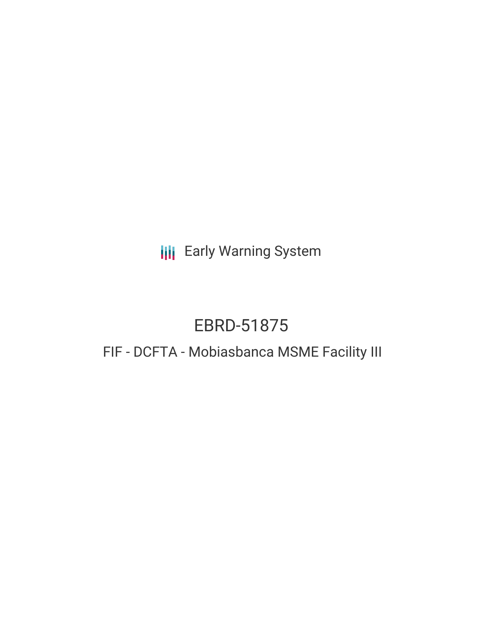**III** Early Warning System

# EBRD-51875

# FIF - DCFTA - Mobiasbanca MSME Facility III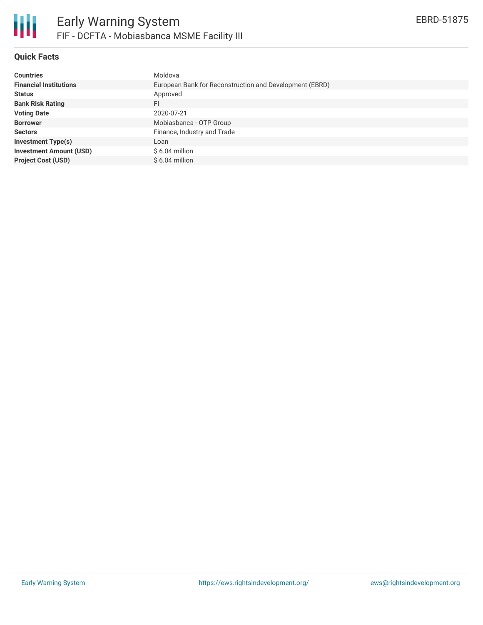

#### **Quick Facts**

| <b>Countries</b>               | Moldova                                                 |
|--------------------------------|---------------------------------------------------------|
| <b>Financial Institutions</b>  | European Bank for Reconstruction and Development (EBRD) |
| <b>Status</b>                  | Approved                                                |
| <b>Bank Risk Rating</b>        | FI                                                      |
| <b>Voting Date</b>             | 2020-07-21                                              |
| <b>Borrower</b>                | Mobiasbanca - OTP Group                                 |
| <b>Sectors</b>                 | Finance, Industry and Trade                             |
| <b>Investment Type(s)</b>      | Loan                                                    |
| <b>Investment Amount (USD)</b> | $$6.04$ million                                         |
| <b>Project Cost (USD)</b>      | $$6.04$ million                                         |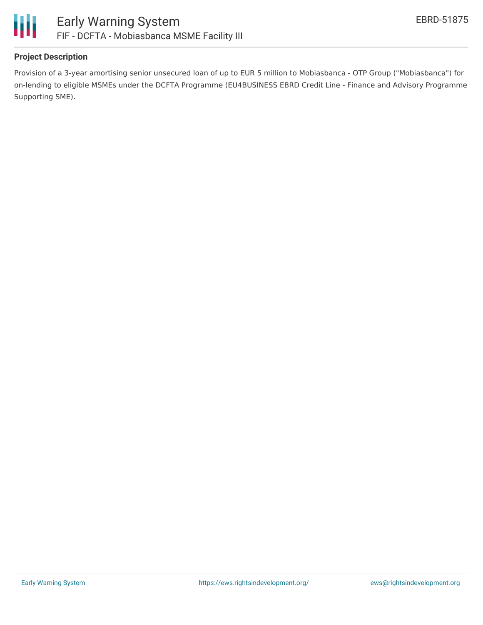

#### **Project Description**

Provision of a 3-year amortising senior unsecured loan of up to EUR 5 million to Mobiasbanca - OTP Group ("Mobiasbanca") for on-lending to eligible MSMEs under the DCFTA Programme (EU4BUSINESS EBRD Credit Line - Finance and Advisory Programme Supporting SME).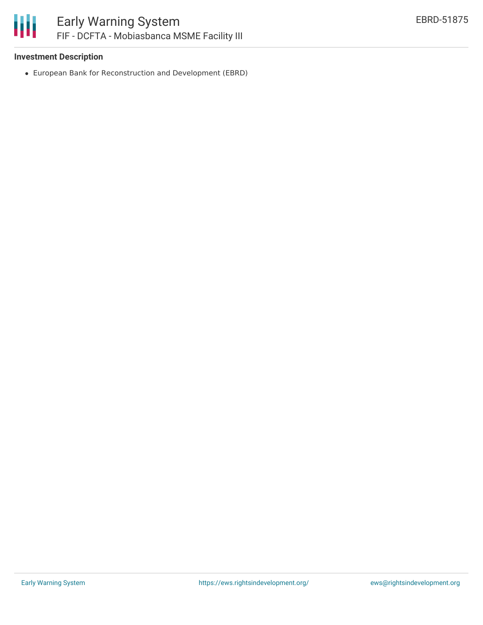

#### **Investment Description**

European Bank for Reconstruction and Development (EBRD)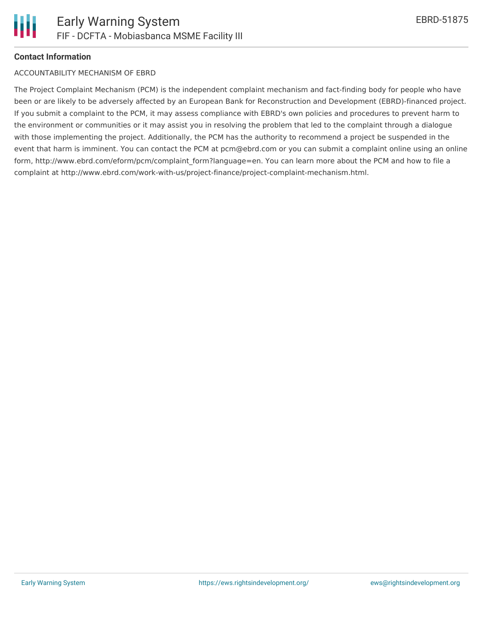## **Contact Information**

### ACCOUNTABILITY MECHANISM OF EBRD

The Project Complaint Mechanism (PCM) is the independent complaint mechanism and fact-finding body for people who have been or are likely to be adversely affected by an European Bank for Reconstruction and Development (EBRD)-financed project. If you submit a complaint to the PCM, it may assess compliance with EBRD's own policies and procedures to prevent harm to the environment or communities or it may assist you in resolving the problem that led to the complaint through a dialogue with those implementing the project. Additionally, the PCM has the authority to recommend a project be suspended in the event that harm is imminent. You can contact the PCM at pcm@ebrd.com or you can submit a complaint online using an online form, http://www.ebrd.com/eform/pcm/complaint form?language=en. You can learn more about the PCM and how to file a complaint at http://www.ebrd.com/work-with-us/project-finance/project-complaint-mechanism.html.